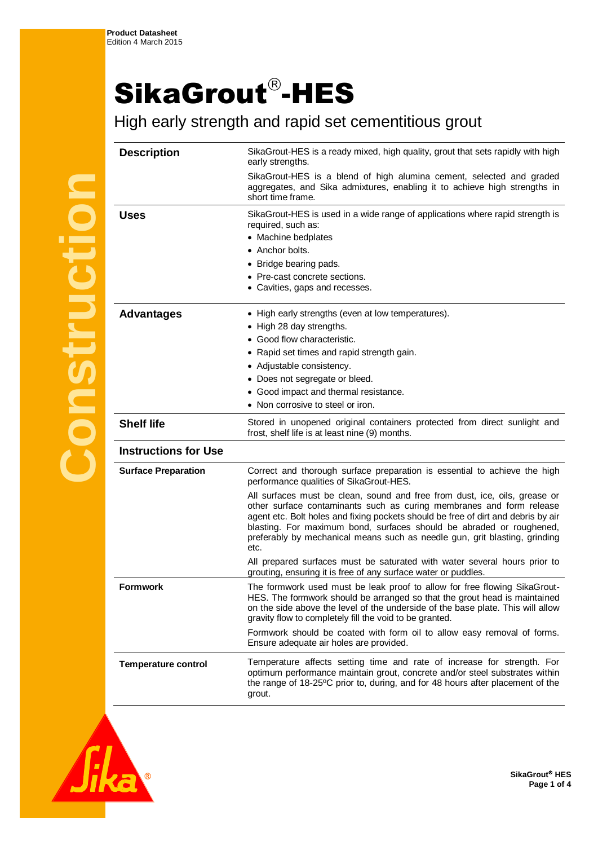## SikaGrout®-HES

High early strength and rapid set cementitious grout

| <b>Description</b>          | SikaGrout-HES is a ready mixed, high quality, grout that sets rapidly with high<br>early strengths.                                                                                                                                                                                                                                                                                                   |
|-----------------------------|-------------------------------------------------------------------------------------------------------------------------------------------------------------------------------------------------------------------------------------------------------------------------------------------------------------------------------------------------------------------------------------------------------|
|                             | SikaGrout-HES is a blend of high alumina cement, selected and graded<br>aggregates, and Sika admixtures, enabling it to achieve high strengths in<br>short time frame.                                                                                                                                                                                                                                |
| <b>Uses</b>                 | SikaGrout-HES is used in a wide range of applications where rapid strength is<br>required, such as:<br>• Machine bedplates<br>• Anchor bolts.                                                                                                                                                                                                                                                         |
|                             | • Bridge bearing pads.                                                                                                                                                                                                                                                                                                                                                                                |
|                             | • Pre-cast concrete sections.                                                                                                                                                                                                                                                                                                                                                                         |
|                             | • Cavities, gaps and recesses.                                                                                                                                                                                                                                                                                                                                                                        |
| <b>Advantages</b>           | • High early strengths (even at low temperatures).                                                                                                                                                                                                                                                                                                                                                    |
|                             | • High 28 day strengths.                                                                                                                                                                                                                                                                                                                                                                              |
|                             | • Good flow characteristic.                                                                                                                                                                                                                                                                                                                                                                           |
|                             | • Rapid set times and rapid strength gain.                                                                                                                                                                                                                                                                                                                                                            |
|                             | • Adjustable consistency.                                                                                                                                                                                                                                                                                                                                                                             |
|                             | • Does not segregate or bleed.                                                                                                                                                                                                                                                                                                                                                                        |
|                             | • Good impact and thermal resistance.                                                                                                                                                                                                                                                                                                                                                                 |
|                             | • Non corrosive to steel or iron.                                                                                                                                                                                                                                                                                                                                                                     |
| <b>Shelf life</b>           | Stored in unopened original containers protected from direct sunlight and<br>frost, shelf life is at least nine (9) months.                                                                                                                                                                                                                                                                           |
| <b>Instructions for Use</b> |                                                                                                                                                                                                                                                                                                                                                                                                       |
| <b>Surface Preparation</b>  | Correct and thorough surface preparation is essential to achieve the high<br>performance qualities of SikaGrout-HES.                                                                                                                                                                                                                                                                                  |
|                             | All surfaces must be clean, sound and free from dust, ice, oils, grease or<br>other surface contaminants such as curing membranes and form release<br>agent etc. Bolt holes and fixing pockets should be free of dirt and debris by air<br>blasting. For maximum bond, surfaces should be abraded or roughened,<br>preferably by mechanical means such as needle gun, grit blasting, grinding<br>etc. |
|                             | All prepared surfaces must be saturated with water several hours prior to<br>grouting, ensuring it is free of any surface water or puddles.                                                                                                                                                                                                                                                           |
| Formwork                    | The formwork used must be leak proof to allow for free flowing SikaGrout-<br>HES. The formwork should be arranged so that the grout head is maintained<br>on the side above the level of the underside of the base plate. This will allow<br>gravity flow to completely fill the void to be granted.                                                                                                  |
|                             | Formwork should be coated with form oil to allow easy removal of forms.<br>Ensure adequate air holes are provided.                                                                                                                                                                                                                                                                                    |
| <b>Temperature control</b>  | Temperature affects setting time and rate of increase for strength. For<br>optimum performance maintain grout, concrete and/or steel substrates within<br>the range of 18-25°C prior to, during, and for 48 hours after placement of the<br>grout.                                                                                                                                                    |
|                             |                                                                                                                                                                                                                                                                                                                                                                                                       |

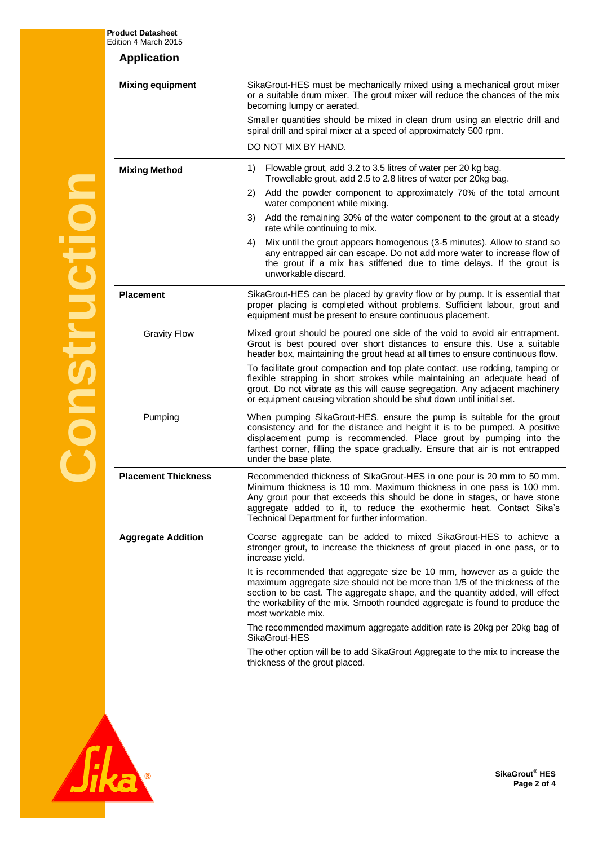**Product Datasheet**

| <b>Application</b>         |                                                                                                                                                                                                                                                                                                                                                    |  |  |  |
|----------------------------|----------------------------------------------------------------------------------------------------------------------------------------------------------------------------------------------------------------------------------------------------------------------------------------------------------------------------------------------------|--|--|--|
| <b>Mixing equipment</b>    | SikaGrout-HES must be mechanically mixed using a mechanical grout mixer<br>or a suitable drum mixer. The grout mixer will reduce the chances of the mix<br>becoming lumpy or aerated.                                                                                                                                                              |  |  |  |
|                            | Smaller quantities should be mixed in clean drum using an electric drill and<br>spiral drill and spiral mixer at a speed of approximately 500 rpm.                                                                                                                                                                                                 |  |  |  |
|                            | DO NOT MIX BY HAND.                                                                                                                                                                                                                                                                                                                                |  |  |  |
| <b>Mixing Method</b>       | Flowable grout, add 3.2 to 3.5 litres of water per 20 kg bag.<br>1)<br>Trowellable grout, add 2.5 to 2.8 litres of water per 20kg bag.                                                                                                                                                                                                             |  |  |  |
|                            | Add the powder component to approximately 70% of the total amount<br>2)<br>water component while mixing.                                                                                                                                                                                                                                           |  |  |  |
|                            | Add the remaining 30% of the water component to the grout at a steady<br>3)<br>rate while continuing to mix.                                                                                                                                                                                                                                       |  |  |  |
|                            | Mix until the grout appears homogenous (3-5 minutes). Allow to stand so<br>4)<br>any entrapped air can escape. Do not add more water to increase flow of<br>the grout if a mix has stiffened due to time delays. If the grout is<br>unworkable discard.                                                                                            |  |  |  |
| <b>Placement</b>           | SikaGrout-HES can be placed by gravity flow or by pump. It is essential that<br>proper placing is completed without problems. Sufficient labour, grout and<br>equipment must be present to ensure continuous placement.                                                                                                                            |  |  |  |
| <b>Gravity Flow</b>        | Mixed grout should be poured one side of the void to avoid air entrapment.<br>Grout is best poured over short distances to ensure this. Use a suitable<br>header box, maintaining the grout head at all times to ensure continuous flow.                                                                                                           |  |  |  |
|                            | To facilitate grout compaction and top plate contact, use rodding, tamping or<br>flexible strapping in short strokes while maintaining an adequate head of<br>grout. Do not vibrate as this will cause segregation. Any adjacent machinery<br>or equipment causing vibration should be shut down until initial set.                                |  |  |  |
| Pumping                    | When pumping SikaGrout-HES, ensure the pump is suitable for the grout<br>consistency and for the distance and height it is to be pumped. A positive<br>displacement pump is recommended. Place grout by pumping into the<br>farthest corner, filling the space gradually. Ensure that air is not entrapped<br>under the base plate.                |  |  |  |
| <b>Placement Thickness</b> | Recommended thickness of SikaGrout-HES in one pour is 20 mm to 50 mm.<br>Minimum thickness is 10 mm. Maximum thickness in one pass is 100 mm.<br>Any grout pour that exceeds this should be done in stages, or have stone<br>aggregate added to it, to reduce the exothermic heat. Contact Sika's<br>Technical Department for further information. |  |  |  |
| <b>Aggregate Addition</b>  | Coarse aggregate can be added to mixed SikaGrout-HES to achieve a<br>stronger grout, to increase the thickness of grout placed in one pass, or to<br>increase yield.                                                                                                                                                                               |  |  |  |
|                            | It is recommended that aggregate size be 10 mm, however as a guide the<br>maximum aggregate size should not be more than 1/5 of the thickness of the<br>section to be cast. The aggregate shape, and the quantity added, will effect<br>the workability of the mix. Smooth rounded aggregate is found to produce the<br>most workable mix.         |  |  |  |
|                            | The recommended maximum aggregate addition rate is 20kg per 20kg bag of<br>SikaGrout-HES                                                                                                                                                                                                                                                           |  |  |  |
|                            | The other option will be to add SikaGrout Aggregate to the mix to increase the<br>thickness of the grout placed.                                                                                                                                                                                                                                   |  |  |  |

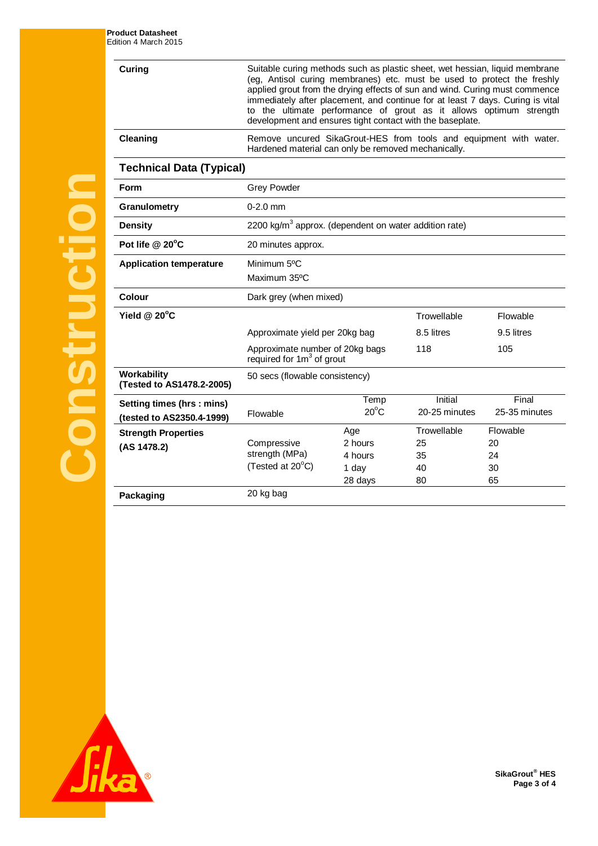**Curing** Suitable curing methods such as plastic sheet, wet hessian, liquid membrane (eg, Antisol curing membranes) etc. must be used to protect the freshly applied grout from the drying effects of sun and wind. Curing must commence immediately after placement, and continue for at least 7 days. Curing is vital to the ultimate performance of grout as it allows optimum strength development and ensures tight contact with the baseplate. **Cleaning** Remove uncured SikaGrout-HES from tools and equipment with water.

Hardened material can only be removed mechanically.

**Technical Data (Typical)**

| <b>Form</b>                                            | <b>Grey Powder</b>                                                |                                               |                                     |                                  |  |
|--------------------------------------------------------|-------------------------------------------------------------------|-----------------------------------------------|-------------------------------------|----------------------------------|--|
| Granulometry                                           | $0 - 2.0$ mm                                                      |                                               |                                     |                                  |  |
| <b>Density</b>                                         | 2200 kg/m <sup>3</sup> approx. (dependent on water addition rate) |                                               |                                     |                                  |  |
| Pot life @ 20°C                                        | 20 minutes approx.                                                |                                               |                                     |                                  |  |
| <b>Application temperature</b>                         | Minimum 5 <sup>o</sup> C<br>Maximum 35°C                          |                                               |                                     |                                  |  |
| Colour                                                 | Dark grey (when mixed)                                            |                                               |                                     |                                  |  |
| Yield $@$ 20 $°C$                                      |                                                                   |                                               | Trowellable                         | Flowable                         |  |
|                                                        | Approximate yield per 20kg bag                                    |                                               | 8.5 litres                          | 9.5 litres                       |  |
|                                                        | Approximate number of 20kg bags<br>required for $1m3$ of grout    |                                               | 118                                 | 105                              |  |
| Workability<br>(Tested to AS1478.2-2005)               | 50 secs (flowable consistency)                                    |                                               |                                     |                                  |  |
| Setting times (hrs: mins)<br>(tested to AS2350.4-1999) | Flowable                                                          | Temp<br>$20^{\circ}$ C                        | Initial<br>20-25 minutes            | Final<br>25-35 minutes           |  |
| <b>Strength Properties</b><br>(AS 1478.2)              | Compressive<br>strength (MPa)<br>(Tested at 20°C)                 | Age<br>2 hours<br>4 hours<br>1 day<br>28 days | Trowellable<br>25<br>35<br>40<br>80 | Flowable<br>20<br>24<br>30<br>65 |  |
| Packaging                                              | 20 kg bag                                                         |                                               |                                     |                                  |  |



**Construction**

**SikaGrout® HES Page 3 of 4**